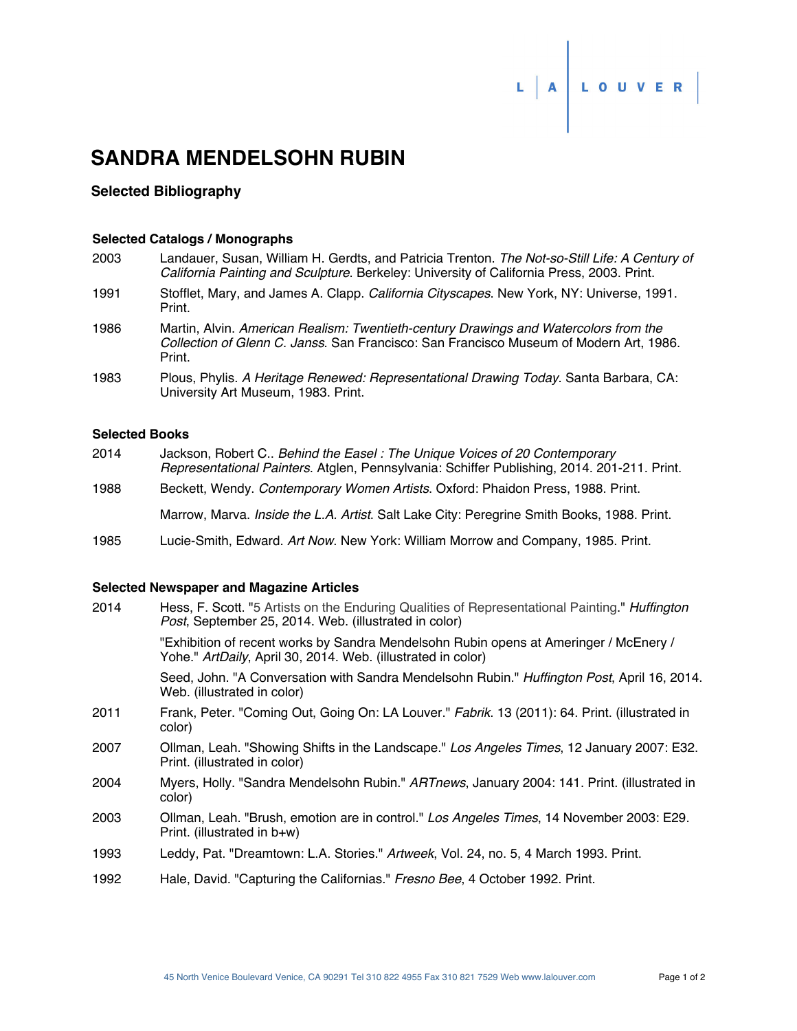# L A LOUVER

# **SANDRA MENDELSOHN RUBIN**

### **Selected Bibliography**

#### **Selected Catalogs / Monographs**

| 2003 | Landauer, Susan, William H. Gerdts, and Patricia Trenton. The Not-so-Still Life: A Century of<br>California Painting and Sculpture. Berkeley: University of California Press, 2003. Print. |
|------|--------------------------------------------------------------------------------------------------------------------------------------------------------------------------------------------|
| 1991 | Stofflet, Mary, and James A. Clapp. California Cityscapes. New York, NY: Universe, 1991.<br>Print.                                                                                         |
| 1986 | Martin, Alvin. American Realism: Twentieth-century Drawings and Watercolors from the<br>Collection of Glenn C. Janss. San Francisco: San Francisco Museum of Modern Art, 1986.<br>Print.   |
| 1983 | Plous, Phylis. A Heritage Renewed: Representational Drawing Today. Santa Barbara, CA:<br>University Art Museum, 1983. Print.                                                               |
|      |                                                                                                                                                                                            |

## **Selected Books**

| 2014 | Jackson, Robert C., Behind the Easel: The Unique Voices of 20 Contemporary<br>Representational Painters. Atglen, Pennsylvania: Schiffer Publishing, 2014. 201-211. Print. |
|------|---------------------------------------------------------------------------------------------------------------------------------------------------------------------------|
| 1988 | Beckett, Wendy. Contemporary Women Artists. Oxford: Phaidon Press, 1988. Print.                                                                                           |
|      | Marrow, Marva. <i>Inside the L.A. Artist</i> . Salt Lake City: Peregrine Smith Books, 1988. Print.                                                                        |
| 1985 | Lucie-Smith, Edward. Art Now. New York: William Morrow and Company, 1985. Print.                                                                                          |

#### **Selected Newspaper and Magazine Articles**

| 2014 | Hess, F. Scott. "5 Artists on the Enduring Qualities of Representational Painting." <i>Huffington</i><br><i>Post</i> , September 25, 2014. Web. (illustrated in color) |
|------|------------------------------------------------------------------------------------------------------------------------------------------------------------------------|
|      | "Exhibition of recent works by Sandra Mendelsohn Rubin opens at Ameringer / McEnery /<br>Yohe." ArtDaily, April 30, 2014. Web. (illustrated in color)                  |
|      | Seed, John. "A Conversation with Sandra Mendelsohn Rubin." Huffington Post, April 16, 2014.<br>Web. (illustrated in color)                                             |
| 2011 | Frank, Peter. "Coming Out, Going On: LA Louver." Fabrik. 13 (2011): 64. Print. (illustrated in<br>color)                                                               |
| 2007 | Ollman, Leah. "Showing Shifts in the Landscape." Los Angeles Times, 12 January 2007: E32.<br>Print. (illustrated in color)                                             |
| 2004 | Myers, Holly. "Sandra Mendelsohn Rubin." ARTnews, January 2004: 141. Print. (illustrated in<br>color)                                                                  |
| 2003 | Ollman, Leah. "Brush, emotion are in control." Los Angeles Times, 14 November 2003: E29.<br>Print. (illustrated in $b+w$ )                                             |
| 1993 | Leddy, Pat. "Dreamtown: L.A. Stories." Artweek, Vol. 24, no. 5, 4 March 1993. Print.                                                                                   |
| 1992 | Hale, David. "Capturing the Californias." Fresno Bee, 4 October 1992. Print.                                                                                           |